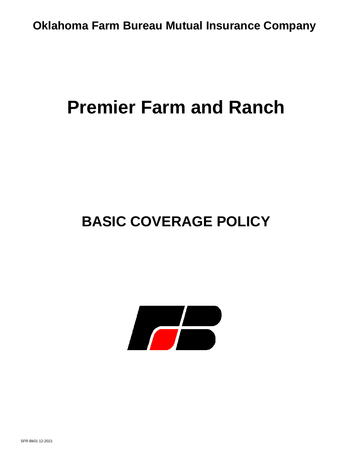# **Premier Farm and Ranch**

# **BASIC COVERAGE POLICY**

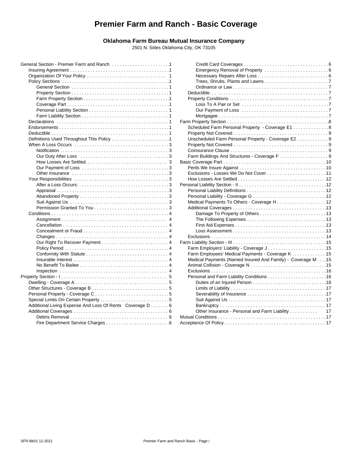## **Premier Farm and Ranch - Basic Coverage**

### **Oklahoma Farm Bureau Mutual Insurance Company**

2501 N. Stiles Oklahoma City, OK 73105

|                                                          | Dε    |
|----------------------------------------------------------|-------|
|                                                          | Pr    |
|                                                          |       |
|                                                          |       |
|                                                          |       |
|                                                          | Farm  |
|                                                          | Sc    |
|                                                          | Pr    |
|                                                          | Ur    |
|                                                          | Pr    |
|                                                          | C٥    |
|                                                          | Fa    |
|                                                          | Basic |
|                                                          | Pe    |
|                                                          | E۶    |
|                                                          | H     |
|                                                          | Perso |
|                                                          | Pe    |
|                                                          | $P_6$ |
|                                                          | M     |
|                                                          | Ac    |
|                                                          |       |
| 4                                                        |       |
|                                                          |       |
|                                                          |       |
|                                                          | E)    |
|                                                          | Farm  |
|                                                          | Fε    |
|                                                          | F۶    |
|                                                          | M     |
|                                                          | Ar    |
|                                                          | E)    |
|                                                          | Pε    |
|                                                          |       |
|                                                          |       |
|                                                          |       |
|                                                          |       |
| Additional Living Expense And Loss Of Rents Coverage D 6 |       |
|                                                          |       |
|                                                          | Mutua |
|                                                          | Accep |
|                                                          |       |

| .1 |                                                             |  |
|----|-------------------------------------------------------------|--|
| 1  |                                                             |  |
| 1  |                                                             |  |
| 1  |                                                             |  |
| 1  |                                                             |  |
| 1  |                                                             |  |
| 1  |                                                             |  |
| 1  |                                                             |  |
| 1  |                                                             |  |
| 1  |                                                             |  |
| 1  |                                                             |  |
| 1  | Scheduled Farm Personal Property - Coverage E1 8            |  |
| 1  |                                                             |  |
| 1  | Unscheduled Farm Personal Property - Coverage E2 9          |  |
| 3  |                                                             |  |
| 3  |                                                             |  |
| 3  |                                                             |  |
| 3  |                                                             |  |
| 3  |                                                             |  |
| 3  |                                                             |  |
| 3  |                                                             |  |
| 3  |                                                             |  |
| 3  |                                                             |  |
| 3  |                                                             |  |
| 3  |                                                             |  |
| 3  |                                                             |  |
| 4  |                                                             |  |
| 4  |                                                             |  |
| 4  |                                                             |  |
| 4  |                                                             |  |
| 4  |                                                             |  |
| 4  |                                                             |  |
| 4  | Farm Employers' Liability - Coverage J15                    |  |
| 4  | Farm Employees' Medical Payments - Coverage K 15            |  |
| 4  | Medical Payments (Named Insured And Family) - Coverage M 15 |  |
| 4  |                                                             |  |
| 4  |                                                             |  |
| 5  |                                                             |  |
| 5  |                                                             |  |
| 5  |                                                             |  |
| 5  |                                                             |  |
| 5  |                                                             |  |
| 6  |                                                             |  |
| 6  | Other Insurance - Personal and Farm Liability<br>17         |  |
| 6  |                                                             |  |
| 6  |                                                             |  |
|    |                                                             |  |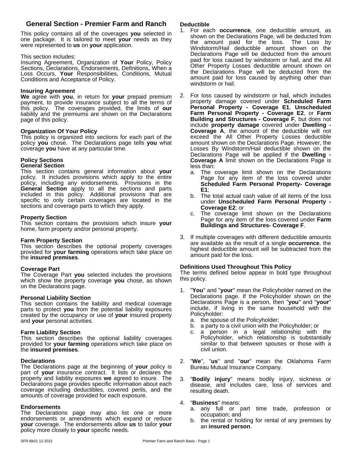## **General Section - Premier Farm and Ranch Deductible**

This policy contains all of the coverages **you** selected in one package. It is tailored to meet **your** needs as they were represented to **us** on **your** application.

#### This section includes:

Insuring Agreement, Organization of **Your** Policy, Policy Sections, Declarations, Endorsements, Definitions, When a Loss Occurs, **Your** Responsibilities, Conditions, Mutual Conditions and Acceptance of Policy.

#### **Insuring Agreement**

**We** agree with **you**, in return for **your** prepaid premium payment, to provide insurance subject to all the terms of this policy. The coverages provided, the limits of **our** liability and the premiums are shown on the Declarations page of this policy.

#### **Organization Of Your Policy**

This policy is organized into sections for each part of the policy **you** chose. The Declarations page tells **you** what coverage **you** have at any particular time.

## **Policy Sections**

## **General Section**

This section contains general information about **your** policy. It includes provisions which apply to the entire policy, including any endorsements. Provisions in the **General Section** apply to all the sections and parts included in this policy. Additional provisions that are  $P_{\rm b}$  The specific to only certain coverages are located in the  $\frac{m}{\text{under}}$ sections and coverage parts to which they apply.

#### **Property Section**

This section contains the provisions which insure **your** home, farm property and/or personal property.

#### **Farm Property Section**

This section describes the optional property coverages provided for **your farming** operations which take place on the **insured premises**.

#### **Coverage Part**

The Coverage Part **you** selected includes the provisions which show the property coverage **you** chose, as shown on the Declarations page.

#### **Personal Liability Section**

This section contains the liability and medical coverage parts to protect you from the potential liability exposures created by the occupancy or use of **your** insured property and **your** personal activities.

#### **Farm Liability Section**

This section describes the optional liability coverages provided for **your farming** operations which take place on the **insured premises**.

#### **Declarations**

The Declarations page at the beginning of **your** policy is part of **your** insurance contract. It lists or declares the property and liability exposures **we** agreed to insure. The Declarations page provides specific information about each coverage including deductibles, covered perils, and the amounts of coverage provided for each exposure.

#### **Endorsements**

The Declarations page may also list one or more endorsements or amendments which expand or reduce **your** coverage. The endorsements allow **us** to tailor **your** policy more closely to **your** specific needs.

- 1. For each **occurrence**, one deductible amount, as shown on the Declarations Page, will be deducted from the amount paid for the loss. The Loss by Windstorm/Hail deductible amount shown on the Declarations Page will be deducted from the amount paid for loss caused by windstorm or hail, and the All Other Property Losses deductible amount shown on the Declarations Page will be deducted from the amount paid for loss caused by anything other than windstorm or hail.
- 2. For loss caused by windstorm or hail, which includes property damage covered under **Scheduled Farm Personal Property - Coverage E1**, **Unscheduled Farm Personal Property - Coverage E2**, or **Farm Building and Structures - Coverage F**, but does not include **property damage** covered under **Dwelling - Coverage A**, the amount of the deductible will not exceed the All Other Property Losses deductible amount shown on the Declarations Page. However, the Losses By Windstorm/Hail deductible shown on the Declarations Page will be applied if the **Dwelling - Coverage A** limit shown on the Declarations Page is less than:
	- a. The coverage limit shown on the Declarations Page for any item of the loss covered under **Scheduled Farm Personal Property- Coverage E1**;
	- b. The total actual cash value of all items of the loss under **Unscheduled Farm Personal Property - Coverage E2**; or
	- The coverage limit shown on the Declarations Page for any item of the loss covered under**Farm Buildings and Structures- Coverage F**.
- 3. If multiple coverages with different deductible amounts are available as the result of a single **occurrence**, the highest deductible amount will be subtracted from the amount paid for the loss.

#### **Definitions Used Throughout This Policy**

The terms defined below appear in bold type throughout this policy.

- 1. "**You**" and "**your**" mean the Policyholder named on the Declarations page. If the Policyholder shown on the Declarations Page is a person, then "**you**" and "**your**" include, if living in the same household with the Policyholder:
	- a. the spouse of the Policyholder;
	- b. a party to a civil union with the Policyholder; or
	- a person in a legal relationship with the Policyholder, which relationship is substantially similar to that between spouses or those with a civil union.
- 2. "**We**", "**us**" and "**our**" mean the Oklahoma Farm Bureau Mutual Insurance Company.
- 3. "**Bodily injury**" means bodily injury, sickness or disease, and includes care, loss of services and resulting death.

#### 4. "**Business**" means:

- a. any full or part time trade, profession or occupation; and
- b. the rental or holding for rental of any premises by an **insured person**.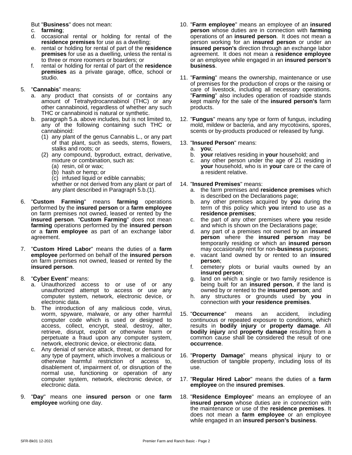But "**Business**" does not mean:

- c. **farming**;
- d. occasional rental or holding for rental of the **residence premises** for use as a dwelling;
- e. rental or holding for rental of part of the **residence premises** for use as a dwelling, unless the rental is to three or more roomers or boarders; or
- f. rental or holding for rental of part of the **residence premises** as a private garage, office, school or studio.

#### 5. "**Cannabis**" means:

- a. any product that consists of or contains any amount of Tetrahydrocannabinol (THC) or any other cannabinoid, regardless of whether any such THC or cannabinoid is natural or synthetic.
- b. paragraph 5.a. above includes, but is not limited to, any of the following containing such THC or cannabinoid:
	- (1) any plant of the genus Cannabis L., or any part of that plant, such as seeds, stems, flowers, stalks and roots; or
	- (2) any compound, byproduct, extract, derivative, mixture or combination, such as:
		- (a) resin, oil or wax;
		- (b) hash or hemp; or
		- (c) infused liquid or edible cannabis;

whether or not derived from any plant or part of any plant described in Paragraph 5.b.(1).

- 6. "**Custom Farming**" means **farming** operations performed by the **insured person** or a **farm employee** on farm premises not owned, leased or rented by the **insured person. "Custom Farming"** does not mean c. the p **farming** operations performed by the **insured person** or a **farm employee** as part of an exchange labor agreement.
- 7. "**Custom Hired Labor**" means the duties of a **farm employee** performed on behalf of the **insured person** on farm premises not owned, leased or rented by the **insured person**.
- 8. "**Cyber Event**" means:
	- a. Unauthorized access to or use of or any unauthorized attempt to access or use any computer system, network, electronic device, or electronic data.
	- b. The introduction of any malicious code, virus, worm, spyware, malware, or any other harmful computer code which is used or designed to access, collect, encrypt, steal, destroy, alter, retrieve, disrupt, exploit or otherwise harm or perpetuate a fraud upon any computer system, network, electronic device, or electronic data.
	- c. Any denial of service attack, threat, or demand for any type of payment, which involves a malicious or otherwise harmful restriction of access to, disablement of, impairment of, or disruption of the normal use, functioning or operation of any computer system, network, electronic device, or electronic data.
- 9. "**Day**" means one **insured person** or one **farm employee** working one day.
- 10. "**Farm employee**" means an employee of an **insured person** whose duties are in connection with **farming** operations of an **insured person**. It does not mean a person working for an **insured person** or under an **insured person's** direction through an exchange labor agreement. It does not mean a **residence employee** or an employee while engaged in an **insured person's business**.
- 11. "**Farming**" means the ownership, maintenance or use of premises for the production of crops or the raising or care of livestock, including all necessary operations. "**Farming**" also includes operation of roadside stands kept mainly for the sale of the **insured person's** farm products.
- 12. "**Fungus**" means any type or form of fungus, including mold, mildew or bacteria, and any mycotoxins, spores, scents or by-products produced or released by fungi.

#### 13. "**Insured Person**" means:

- a. **you**;
- **your** relatives residing in **your** household; and
- c. any other person under the age of 21 residing in **your** household, who is in **your** care or the care of a resident relative.

#### 14. "**Insured Premises**" means:

- a. the farm premisesand **residence premises** which is described on the Declarations page;
- b. any other premises acquired by **you** during the term of this policy which **you** intend to use as a **residence premises**;
- c. the part of any other premises where **you** reside and which is shown on the Declarations page;
- d. any part of a premises not owned by an **insured person** where the **insured person** may be temporarily residing or which an **insured person** may occasionally rent for non-**business** purposes;
- e. vacant land owned by or rented to an **insured person**;
- f. cemetery plots or burial vaults owned by an **insured person**;
- g. land on which a single or two family residence is being built for an **insured person**, if the land is owned by or rented to the **insured person**; and
- h. any structures or grounds used by **you** in connection with **your residence premises**.
- 15. "**Occurrence**" means an accident, including continuous or repeated exposure to conditions, which results in **bodily injury** or **property damage**. All **bodily injury** and **property damage** resulting from a common cause shall be considered the result of one **occurrence**.
- 16. "**Property Damage**" means physical injury to or destruction of tangible property, including loss of its use.
- 17. "**Regular Hired Labor**" means the duties of a **farm employee** on the i**nsured premises**.
- 18. "**Residence Employee**" means an employee of an **insured person** whose duties are in connection with the maintenance or use of the **residence premises**. It does not mean a **farm employee** or an employee while engaged in an **insured person's business**.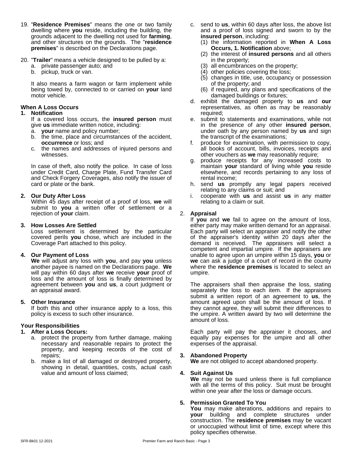- 19. "**Residence Premises**" means the one or two family dwelling where **you** reside, including the building, the grounds adjacent to the dwelling not used for **farming**, and other structures on the grounds. The "**residence premises**" is described on the Declarations page.
- 20. "**Trailer**" means a vehicle designed to be pulled by a:
	- a. private passenger auto; and
	- b. pickup, truck or van.

It also means a farm wagon or farm implement while being towed by, connected to or carried on **your** land motor vehicle.

#### **When A Loss Occurs**

#### **1. Notification**

If a covered loss occurs, the **insured person** must give **us** immediate written notice, including:

- a. **your** name and policy number;
- b. the time, place and circumstances of the accident, **occurrence** or loss; and
- c. the names and addresses of injured persons and witnesses.

In case of theft, also notify the police. In case of loss under Credit Card, Charge Plate, Fund Transfer Card and Check Forgery Coverages, also notify the issuer of card or plate or the bank.

#### **2. Our Duty After Loss**

Within 45 days after receipt of a proof of loss, **we** will submit to **you** a written offer of settlement or a rejection of **your** claim.

#### **3. How Losses Are Settled**

Loss settlement is determined by the particular covered perils **you** chose, which are included in the Coverage Part attached to this policy.

#### **4. Our Payment of Loss**

**We** will adjust any loss with **you**, and pay **you** unless another payee is named on the Declarations page.**We** will pay within 60 days after **we** receive **your** proof of loss and the amount of loss is finally determined by agreement between **you** and **us**, a court judgment or an appraisal award.

#### **5. Other Insurance**

If both this and other insurance apply to a loss, this policy is excess to such other insurance.

#### **Your Responsibilities**

#### **1. After a Loss Occurs:**

- a. protect the property from further damage, making necessary and reasonable repairs to protect the property, and keeping records of the cost of repairs;
- b. make a list of all damaged or destroyed property, showing in detail, quantities, costs, actual cash value and amount of loss claimed;
- c. send to **us**, within 60 days after loss, the above list and a proof of loss signed and sworn to by the **insured person**, including:
	- (1) the information reported in **When A Loss Occurs, 1. Notification** above;
	- (2) the interest of **insured persons** and all others in the property;
	- (3) all encumbrances on the property;
	- (4) other policies covering the loss;
	- (5) changes in title, use, occupancy or possession of the property; and
	- (6) if required, any plans and specifications of the damaged buildings or fixtures;
- d. exhibit the damaged property to **us** and **our** representatives, as often as may be reasonably required;
- e. submit to statements and examinations, while not in the presence of any other **insured person**, under oath by any person named by **us** and sign the transcript of the examinations;
- f. produce for examination, with permission to copy, all books of account, bills, invoices, receipts and other vouchers as **we** may reasonably require;
- g. produce receipts for any increased costs to maintain **your** standard of living while **you** reside elsewhere, and records pertaining to any loss of rental income;
- h. send **us** promptly any legal papers received relating to any claims or suit; and
- i. cooperate with **us** and assist **us** in any matter relating to a claim or suit.

#### 2. **Appraisal**

If **you** and **we** fail to agree on the amount of loss, either party may make written demand for an appraisal. Each party will select an appraiser and notify the other of the appraiser's identity within 20 days after the demand is received. The appraisers will select a competent and impartial umpire. If the appraisers are unable to agree upon an umpire within 15 days, **you** or **we** can ask a judge of a court of record in the county where the **residence premises** is located to select an umpire.

The appraisers shall then appraise the loss, stating separately the loss to each item. If the appraisers submit a written report of an agreement to **us**, the amount agreed upon shall be the amount of loss. If they cannot agree, they will submit their differences to the umpire. A written award by two will determine the amount of loss.

Each party will pay the appraiser it chooses, and equally pay expenses for the umpire and all other expenses of the appraisal.

#### **3. Abandoned Property**

**We** are not obliged to accept abandoned property.

#### **4. Suit Against Us**

**We** may not be sued unless there is full compliance with all the terms of this policy. Suit must be brought within one year after the loss or damage occurs.

#### **5. Permission Granted To You**

**You** may make alterations, additions and repairs to **your** building and complete structures under construction. The **residence premises** may be vacant or unoccupied without limit of time, except where this policy specifies otherwise.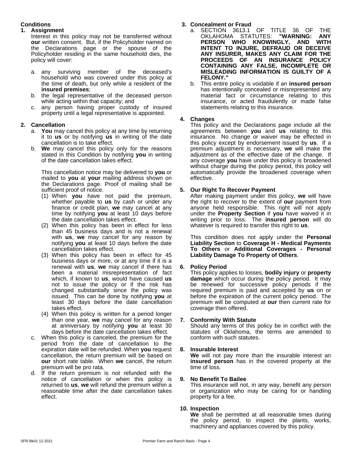#### **Conditions**

#### **1. Assignment**

Interest in this policy may not be transferred without **our** written consent. But, if the Policyholder named on the Declarations page or the spouse of the Policyholder residing in the same household dies, the policy will cover:

- a. any surviving member of the deceased's household who was covered under this policy at the time of death, but only while a resident of the **insured premises**;
- b. the legal representative of the deceased person while acting within that capacity; and
- c. any person having proper custody of insured property until a legal representative is appointed.

#### **2. Cancellation**

- a. **You** may cancel this policy at any time by returning it to **us** or by notifying **us** in writing of the date cancellation is to take effect.
- b. **We** may cancel this policy only for the reasons stated in this Condition by notifying **you** in writing of the date cancellation takes effect.

This cancellation notice may be delivered to **you** or mailed to **you** at **your** mailing address shown on the Declarations page. Proof of mailing shall be sufficient proof of notice.

- (1) When **you** have not paid the premium, whether payable to **us** by cash or under any finance or credit plan, **we** may cancel at any time by notifying **you** at least 10 days before the date cancellation takes effect.
- (2) When this policy has been in effect for less than 45 business days and is not a renewal with **us**, we may cancel for any reason by notifying **you** at least 10 days before the date cancellation takes effect.
- (3) When this policy has been in effect for 45 business days or more, or at any time if it is a renewal with **us**, **we** may cancel if there has been a material misrepresentation of fact which, if known to **us**, would have caused **us** not to issue the policy or if the risk has changed substantially since the policy was issued. This can be done by notifying **you** at least 30 days before the date cancellation takes effect.
- (4) When this policy is written for a period longer than one year, **we** may cancel for any reason at anniversary by notifying **you** at least 30 days before the date cancellation takes effect.
- c. When this policy is canceled, the premium for the period from the date of cancellation to the expiration date will be refunded. When **you** request cancellation, the return premium will be based on **our** short rate table. When **we** cancel, the return premium will be pro rata.
- d. If the return premium is not refunded with the notice of cancellation or when this policy is 9. notice of cancellation or when this policy is returned to **us**, **we** will refund the premium within a reasonable time after the date cancellation takes effect.

### **3. Concealment or Fraud**

- a. SECTION 3613.1 OF TITLE 36 OF THE<br>OKLAHOMA STATUTES: "WARNING: ANY OKLAHOMA STATUTES: **"WARNING: ANY PERSON WHO KNOWINGLY, AND WITH INTENT TO INJURE, DEFRAUD OR DECEIVE ANY INSURER, MAKES ANY CLAIM FOR THE PROCEEDS OF AN INSURANCE POLICY CONTAINING ANY FALSE, INCOMPLETE OR MISLEADING INFORMATION IS GUILTY OF A FELONY."**
- b. This entire policy is voidable if an **insured person** has intentionally concealed or misrepresented any material fact or circumstance relating to this insurance, or acted fraudulently or made false statements relating to this insurance.

#### **4. Changes**

This policy and the Declarations page include all the agreements between **you** and **us** relating to this insurance. No change or waiver may be effected in this policy except by endorsement issued by **us**. If a premium adjustment is necessary, **we** will make the adjustment as of the effective date of the change. If any coverage **you** have under this policy is broadened without charge during the policy period, this policy will automatically provide the broadened coverage when effective.

#### **5. Our Right To Recover Payment**

After making payment under this policy, **we** will have the right to recover to the extent of **our** payment from anyone held responsible. This right will not apply under the **Property Section** if **you** have waived it in writing prior to loss. The **insured person** will do whatever is required to transfer this right to **us**.

This condition does not apply under the **Personal Liability Section** to **Coverage H - Medical Payments To Others** or **Additional Coverages - Personal Liability Damage To Property of Others**.

#### **6. Policy Period**

This policy applies to losses, **bodily injury** or **property damage** which occur during the policy period. It may be renewed for successive policy periods if the required premium is paid and accepted by us on or before the expiration of the current policy period. The premium will be computed at **our** then current rate for coverage then offered.

#### **7. Conformity With Statute**

Should any terms of this policy be in conflict with the statutes of Oklahoma, the terms are amended to conform with such statutes.

#### **8. Insurable Interest**

**We** will not pay more than the insurable interest an **insured person** has in the covered property at the time of loss.

#### **9. No Benefit To Bailee**

This insurance will not, in any way, benefit any person or organization who may be caring for or handling property for a fee.

#### **10. Inspection**

**We** shall be permitted at all reasonable times during the policy period, to inspect the plants, works, machinery and appliances covered by this policy.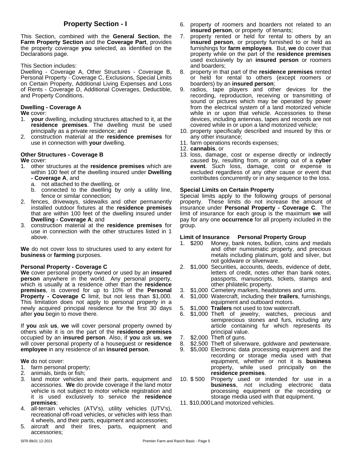This Section, combined with the **General Section**, the **Farm Property Section** and the **Coverage Part**, provides the property coverage **you** selected, as identified on the Declarations page.

This Section includes:

Dwelling - Coverage A, Other Structures - Coverage B, Personal Property - Coverage C, Exclusions, Special Limits on Certain Property, Additional Living Expenses and Loss of Rents - Coverage D, Additional Coverages, Deductible, and Property Conditions.

#### **Dwelling - Coverage A**

**We** cover:

- 1. **your** dwelling, including structures attached to it, at the **residence premises**. The dwelling must be used principally as a private residence; and
- 2. construction material at the **residence premises** for use in connection with **your** dwelling.

#### **Other Structures - Coverage B**

**We** cover:

- 1. other structures at the **residence premises** which are within 100 feet of the dwelling insured under **Dwelling - Coverage A**, and
	- a. not attached to the dwelling, or
	- b. connected to the dwelling by only a utility line, fence or similar connection;
- 2. fences, driveways, sidewalks and other permanently installed outdoor fixtures at the **residence premises** that are within 100 feet of the dwelling insured under **Dwelling - Coverage A**; and
- 3. construction material at the **residence premises** for use in connection with the other structures listed in 1 above.

**We** do not cover loss to structures used to any extent for **business** or **farming** purposes.

#### **Personal Property - Coverage C**

**We** cover personal property owned or used by an **insured person** anywhere in the world. Any personal property, which is usually at a residence other than the **residence premises**, is covered for up to 10% of the **Personal Property - Coverage C** limit, but not less than \$1,000. This limitation does not apply to personal property in a newly acquired principal residence for the first 30 days after **you** begin to move there.

If **you** ask **us**, **we** will cover personal property owned by others while it is on the part of the **residence premises** occupied by an **insured person**. Also, if **you** ask **us**, **we** will cover personal property of a houseguest or **residence employee** in any residence of an **insured person**.

#### **We** do not cover:

- 1. farm personal property;
- 2. animals, birds or fish;
- 3. land motor vehicles and their parts, equipment and accessories. **We** do provide coverage if the land motor vehicle is not subject to motor vehicle registration and it is used exclusively to service the **residence premises**;
- 4. all-terrain vehicles (ATV's), utility vehicles (UTV's), recreational off-road vehicles, or vehicles with less than 4 wheels, and their parts, equipment and accessories;
- 5. aircraft and their tires, parts, equipment and accessories;
- **Property Section I** 6. property of roomers and boarders not related to an **insured person**, or property of tenants;
	- property rented or held for rental to others by an **insured person**, or property furnished to or held as furnishings for **farm employees**. But, **we** do cover that property while on the part of the **residence premises** used exclusively by an **insured person** or roomers and boarders;
	- 8. property in that part of the **residence premises** rented or held for rental to others (except roomers or boarders) by an **insured person**;
	- 9. radios, tape players and other devices for the recording, reproduction, receiving or transmitting of sound or pictures which may be operated by power from the electrical system of a land motorized vehicle while in or upon that vehicle. Accessories to these devices, including antennas, tapes and records are not covered while in or upon a land motorized vehicle;
	- 10. property specifically described and insured by this or any other insurance;
	- 11. farm operations records expenses;
	- 12. **cannabis**, or
	- 13. loss, damage, cost or expense directly or indirectly caused by, resulting from, or arising out of a **cyber event**. Such loss, damage, cost or expense is excluded regardless of any other cause or event that contributes concurrently or in any sequence to the loss.

#### **Special Limits on Certain Property**

Special limits apply to the following groups of personal property. These limits do not increase the amount of insurance under **Personal Property - Coverage C**. The limit of insurance for each group is the maximum **we** will pay for any one **occurrence** for all property included in the group.

#### **Limit of Insurance Personal Property Group**

- 1. \$200 Money, bank notes, bullion, coins and medals and other numismatic property, and precious metals including platinum, gold and silver, but not goldware or silverware.
- 2. \$1,000 Securities, accounts, deeds, evidence of debt, letters of credit, notes other than bank notes, passports, manuscripts, tickets, stamps and other philatelic property.
- 3. \$1,000 Cemetery markers, headstones and urns.
- 4. \$1,000 Watercraft, including their **trailers**, furnishings, equipment and outboard motors.
- 5. \$1,000 **Trailers** not used to tow watercraft.
- 6. \$1,000 Theft of jewelry, watches, precious and semiprecious stones and furs, including any article containing fur which represents its principal value.
- 7. \$2,000 Theft of guns.
- 8. \$2,500 Theft of silverware, goldware and pewterware.
- 9. \$5,000 Electronic data processing equipment and the recording or storage media used with that equipment, whether or not it is **business** property, while used principally on the **residence premises**.
- Property used or intended for use in a **business**, not including electronic data processing equipment or the recording or storage media used with that equipment.
- 11. \$10,000Land motorized vehicles.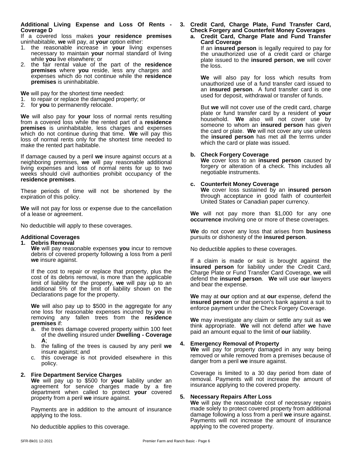#### **Additional Living Expense and Loss Of Rents - Coverage D**

If a covered loss makes **your residence premises** uninhabitable, **we** will pay, at **your** option either:

- 1. the reasonable increase in **your** living expenses necessary to maintain **your** normal standard of living while **you** live elsewhere; or
- 2. the fair rental value of the part of the **residence premises** where **you** reside, less any charges and expenses which do not continue while the **residence premises** is uninhabitable.

**We** will pay for the shortest time needed:

- 1. to repair or replace the damaged property; or
- 2. for **you** to permanently relocate.

**We** will also pay for **your** loss of normal rents resulting from a covered loss while the rented part of a **residence premises** is uninhabitable, less charges and expenses which do not continue during that time. **We** will pay this loss of normal rents only for the shortest time needed to make the rented part habitable.

If damage caused by a peril we insure against occurs at a neighboring premises, **we** will pay reasonable additional living expenses and loss of normal rents for up to two weeks should civil authorities prohibit occupancy of the **residence premises**.

These periods of time will not be shortened by the expiration of this policy.

**We** will not pay for loss or expense due to the cancellation of a lease or agreement.

No deductible will apply to these coverages.

#### **Additional Coverages**

#### **1. Debris Removal**

**We** will pay reasonable expenses **you** incur to remove debris of covered property following a loss from a peril **we** insure against.

If the cost to repair or replace that property, plus the cost of its debris removal, is more than the applicable limit of liability for the property, **we** will pay up to an additional 5% of the limit of liability shown on the Declarations page for the property.

**We** will also pay up to \$500 in the aggregate for any one loss for reasonable expenses incurred by **you** in removing any fallen trees from the **residence premises** if:

- a. the trees damage covered property within 100 feet of the dwelling insured under**Dwelling - Coverage A**;
- b. the falling of the trees is caused by any peril **we** insure against; and
- c. this coverage is not provided elsewhere in this policy.

#### **2. Fire Department Service Charges**

**We** will pay up to \$500 for **your** liability under an agreement for service charges made by a fire department when called to protect **your** covered property from a peril **we** insure against.

Payments are in addition to the amount of insurance applying to the loss.

No deductible applies to this coverage.

#### **3.Credit Card, Charge Plate, Fund Transfer Card, Check Forgery and Counterfeit Money Coverages a. Credit Card, Charge Plate and Fund Transfer**

**Card Coverage** If an **insured person** is legally required to pay for the unauthorized use of a credit card or charge plate issued to the **insured person**, **we** will cover the loss.

**We** will also pay for loss which results from unauthorized use of a fund transfer card issued to an **insured person**. A fund transfer card is one used for deposit, withdrawal or transfer of funds.

But **we** will not cover use of the credit card, charge plate or fund transfer card by a resident of **your** household. **We** also will not cover use by someone to whom an **insured person** has given the card or plate. **We** will not cover any use unless the **insured person** has met all the terms under which the card or plate was issued.

#### **b. Check Forgery Coverage**

**We** coverloss to an **insured person** caused by forgery or alteration of a check. This includes all negotiable instruments.

#### **c. Counterfeit Money Coverage**

**We** coverloss sustained by an **insured person** through acceptance in good faith of counterfeit United States or Canadian paper currency.

**We** will not pay more than \$1,000 for any one **occurrence** involving one or more of these coverages.

**We** do not cover any loss that arises from **business** pursuits or dishonesty of the **insured person**.

No deductible applies to these coverages.

If a claim is made or suit is brought against the **insured person** for liability under the Credit Card, Charge Plate or Fund Transfer Card Coverage, **we** will defend the **insured person**. **We** will use **our** lawyers and bear the expense.

**We** may at **our** option and at **our** expense, defend the **insured person** or that person's bank against a suit to enforce payment under the Check Forgery Coverage.

**We** may investigate any claim or settle any suit as **we** think appropriate. **We** will not defend after **we** have paid an amount equal to the limit of **our** liability.

#### **4. Emergency Removal of Property**

**We** will pay for property damaged in any way being removed or while removed from a premises because of danger from a peril **we** insure against.

Coverage is limited to a 30 day period from date of removal. Payments will not increase the amount of insurance applying to the covered property.

#### **5. Necessary Repairs After Loss**

**We** will pay the reasonable cost of necessary repairs made solely to protect covered property from additional damage following a loss from a peril **we** insure against. Payments will not increase the amount of insurance applying to the covered property.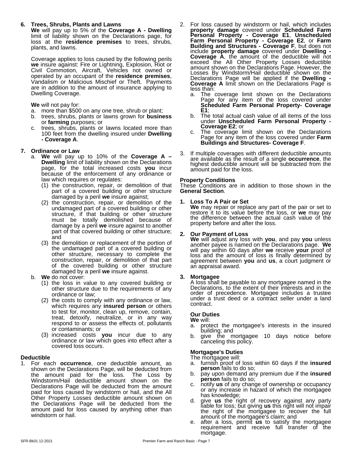#### **6. Trees, Shrubs, Plants and Lawns**

**We** will pay up to 5% of the **Coverage A - Dwelling** limit of liability shown on the Declarations page, for  $P^{\epsilon}$ loss at the **residence premises** to trees, shrubs, plants, and lawns.

Coverage applies to loss caused by the following perils **we** insure against: Fire or Lightning, Explosion, Riot or Civil Commotion, Aircraft, Vehicles not owned or allow operated by an occupant of the **residence premises**, Vandalism or Malicious Mischief or Theft. Payments are in addition to the amount of insurance applying to Dwelling Coverage.

#### **We** will not pay for:

- a. more than \$500 on any one tree, shrub or plant;
- b. trees, shrubs, plants or lawns grown for **business** or **farming** purposes; or
- c. trees, shrubs, plants or lawns located more than<br>100 feet from the dwelling insured under **Dwelling** 100 feet from the dwelling insured under**Dwelling - Coverage A**.

#### **7. Ordinance or Law**

- a. **We** will pay up to 10% of the **Coverage A – Dwelling** limit of liability shown on the Declarations page, for the total increased costs **you** incur because of the enforcement of any ordinance or law which requires or regulates:
	- (1) the construction, repair, or demolition of that part of a covered building or other structure damaged by a peril **we** insure against;
	- $(2)$  the construction, repair, or demolition of the  $1$ . undamaged part of a covered building or other structure, if that building or other structure must be totally demolished because of damage by a peril we insure against to another part of that covered building or other structure; and
	- (3) the demolition or replacement of the portion of the undamaged part of a covered building or other structure, necessary to complete the construction, repair, or demolition of that part of the covered building or other structure damaged by a peril **we** insure against.

#### b. **We** do not cover:

- (1) the loss in value to any covered building or other structure due to the requirements of any ordinance or law;
- (2) the costs to comply with any ordinance or law, which requires any **insured person** or others to test for, monitor, clean up, remove, contain, treat, detoxify, neutralize, or in any way respond to or assess the effects of, pollutants or contaminants; or
- (3) increased costs **you** incur due to any ordinance or law which goes into effect after a covered loss occurs.

#### **Deductible**

1. For each **occurrence**, one deductible amount, as shown on the Declarations Page, will be deducted from the amount paid for the loss. The Loss by Windstorm/Hail deductible amount shown on the Declarations Page will be deducted from the amount paid for loss caused by windstorm or hail, and the All by the lot any increase<br>Other Property Losses deductible amount shown on Other Property Losses deductible amount shown on the Declarations Page will be deducted from the amount paid for loss caused by anything other than windstorm or hail.

- 2. For loss caused by windstorm or hail, which includes **property damage** covered under **Scheduled Farm Personal Property - Coverage E1**, **Unscheduled Farm Personal Property - Coverage E2**, or **Farm Building and Structures - Coverage F**, but does not include **property damage** covered under **Dwelling - Coverage A**, the amount of the deductible will not exceed the All Other Property Losses deductible amount shown on the Declarations Page. However, the Losses By Windstorm/Hail deductible shown on the Declarations Page will be applied if the **Dwelling - Coverage A** limit shown on the Declarations Page is less than:
	- a. The coverage limit shown on the Declarations Page for any item of the loss covered under **Scheduled Farm Personal Property- Coverage E1**;
	- b. The total actual cash value of all items of the loss under **Unscheduled Farm Personal Property - Coverage E2**; or
	- The coverage limit shown on the Declarations Page for any item of the loss covered under Farm **Buildings and Structures- Coverage F**.
- If multiple coverages with different deductible amounts are available as the result of a single **occurrence**, the highest deductible amount will be subtracted from the amount paid for the loss.

#### **Property Conditions**

These Conditions are in addition to those shown in the **General Section**.

#### **1. Loss To A Pair or Set**

**We** may repair or replace any part of the pair or set to restore it to its value before the loss, or **we** may pay the difference between the actual cash value of the property before and after the loss.

#### **2. Our Payment of Loss**

**We** will adjust any loss with **you**, and pay **you** unless another payee is named on the Declarations page.**We** will pay within 60 days after **we** receive **your** proof of loss and the amount of loss is finally determined by agreement between **you** and **us**, a court judgment or an appraisalaward.

**3. Mortgagee**<br>A loss shall be payable to any mortgagee named in the Declarations, to the extent of their interests and in the order of precedence. Mortgagee includes a trustee under a trust deed or a contract seller under a land contract.

#### **Our Duties**

- **We** will: protect the mortgagee's interests in the insured building; and
- b. give the mortgagee 10 days notice before canceling this policy.

#### **Mortgagee's Duties**

The mortgagee will:

- a. furnish proof of loss within 60 days if the **insured person** fails to do so;
- b. pay upon demand any premium due if the **insured person** fails to do so;
- c. notify **us** of any change of ownership or occupancy or any increase in hazard of which the mortgagee
- d. give us the right of recovery against any party liable for loss; but giving **us** this right will not impair the right of the mortgagee to recover the full amount of the mortgagee's claim; and
- e. after a loss, permit **us** to satisfy the mortgagee requirement and receive full transfer of the mortgage.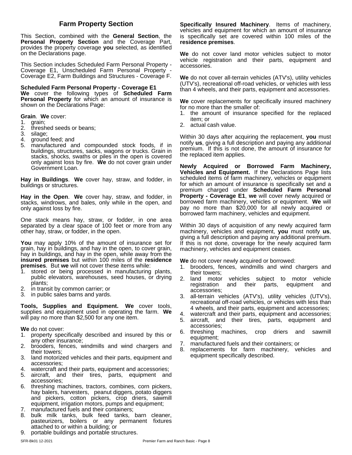This Section, combined with the **General Section**, the **Personal Property Section** and the Coverage Part, provides the property coverage **you** selected, as identified on the Declarations page.

This Section includes Scheduled Farm Personal Property - Coverage E1, Unscheduled Farm Personal Property - Coverage E2, Farm Buildings and Structures - Coverage F.

**Scheduled Farm Personal Property - Coverage E1 We** cover the following types of **Scheduled Farm Personal Property** for which an amount of insurance is shown on the Declarations Page:

**Grain**. **We** cover:

- 1. grain;
- 2. threshed seeds or beans;
- 3. silage;
- 4. ground feed; and
- 5. manufactured and compounded stock foods, if in buildings, structures, sacks, wagons or trucks. Grain in stacks, shocks, swaths or piles in the open is covered only against loss by fire. **We** do not cover grain under Government Loan.

**Hay in Buildings. We** cover hay, straw, and fodder, in buildings or structures.

**Hay in the Open. We** cover hay, straw, and fodder, in stacks, windrows, and bales, only while in the open, and only against loss by fire.

One stack means hay, straw, or fodder, in one area separated by a clear space of 100 feet or more from any other hay, straw, or fodder, in the open.

**You** may apply 10% of the amount of insurance set for grain, hay in buildings, and hay in the open, to cover grain, hay in buildings, and hay in the open, while away from the **insured premises** but within 100 miles of the **residence premises**. But **we** will not cover these items while:

- 1. stored or being processed in manufacturing plants, public elevators, warehouses, seed houses, or drying plants;
- 2. in transit by common carrier; or
- 3. in public sales barns and yards.

**Tools, Supplies and Equipment. We** cover tools, supplies and equipment used in operating the farm. **We** will pay no more than \$2,500 for any one item.

**We** do not cover:

- 1. property specifically described and insured by this or any other insurance;
- 2. brooders, fences, windmills and wind chargers and their towers;
- 3. land motorized vehicles and their parts, equipment and accessories;
- watercraft and their parts, equipment and accessories;
- 5. aircraft, and their tires, parts, equipment and accessories;
- 6. threshing machines, tractors, combines, corn pickers, hay balers, harvesters, peanut diggers, potato diggers and pickers, cotton pickers, crop driers, sawmill equipment, irrigation motors, pumps and equipment;
- 7. manufactured fuels and their containers;
- bulk milk tanks, bulk feed tanks, barn cleaner, pasteurizers, boilers or any permanent fixtures attached to or within a building; or
- 9. portable buildings and portable structures.

**Farm Property Section Specifically Insured Machinery**. Items of machinery, vehicles and equipment for which an amount of insurance is specifically set are covered within 100 miles of the **residence premises**.

> **We** do not cover land motor vehicles subject to motor vehicle registration and their parts, equipment and accessories.

> **We** do not cover all-terrain vehicles (ATV's), utility vehicles (UTV's), recreational off-road vehicles, or vehicles with less than 4 wheels, and their parts, equipment and accessories.

> We cover replacements for specifically insured machinery for no more than the smaller of:

- 1. the amount of insurance specified for the replaced item; or
- 2. actual cash value.

Within 30 days after acquiring the replacement, **you** must notify **us**, giving a full description and paying any additional premium. If this is not done, the amount of insurance for the replaced item applies.

**Newly Acquired or Borrowed Farm Machinery, Vehicles and Equipment.** If the Declarations Page lists scheduled items of farm machinery, vehicles or equipment for which an amount of insurance is specifically set and a premium charged under **Scheduled Farm Personal Property - Coverage E1**, **we** will cover newly acquired or borrowed farm machinery, vehicles or equipment. **We** will pay no more than \$20,000 for all newly acquired or borrowed farm machinery, vehicles and equipment.

Within 30 days of acquisition of any newly acquired farm machinery, vehicles and equipment, **you** must notify **us**, giving a full description and paying any additional premium. If this is not done, coverage for the newly acquired farm machinery, vehicles and equipment ceases.

**We** do not cover newly acquired or borrowed:

- 1. brooders, fences, windmills and wind chargers and their towers;
- 2. land motor vehicles subject to motor vehicle registration and their parts, equipment and accessories;
- 3. all-terrain vehicles (ATV's), utility vehicles (UTV's), recreational off-road vehicles, or vehicles with less than 4 wheels, and their parts, equipment and accessories;
- 4. watercraft and their parts, equipment and accessories;
- 5. aircraft, and their tires, parts, equipment and accessories;
- 6. threshing machines, crop driers and sawmill equipment;
- 7. manufactured fuels and their containers; or
- 8. replacements for farm machinery, vehicles and equipment specifically described.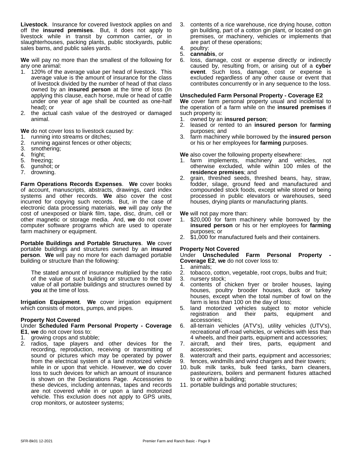**Livestock**. Insurance for covered livestock applies on and off the **insured premises**. But, it does not apply to livestock while in transit by common carrier, or in slaughterhouses, packing plants, public stockyards, public sales barns, and public sales yards.

**We** will pay no more than the smallest of the following for any one animal:

- 1. 120% of the average value per head of livestock. This average value is the amount of insurance for the class of livestock divided by the number of head of that class owned by an **insured person** at the time of loss (In applying this clause, each horse, mule or head of cattle under one year of age shall be counted as one-half head); or
- 2. the actual cash value of the destroyed or damaged animal.

**We** do not cover loss to livestock caused by:

- 1. running into streams or ditches;
- 2. running against fences or other objects;
- 3. smothering;<br>4. fright:
- fright;
- 5. freezing;
- 6. gunshot; or
- 7. drowning.

**Farm Operations Records Expenses. We cover books <b>Farm** of account, manuscripts, abstracts, drawings, card index systems and other records. **We** also cover the cost incurred for copying such records. But, in the case of electronic data processing materials, **we** will pay only the cost of unexposed or blank film, tape, disc, drum, cell or other magnetic or storage media. And, **we** do not cover computer software programs which are used to operate farm machinery or equipment.

**Portable Buildings and Portable Structures**. **We** cover portable buildings and structures owned by an **insured person**. **We** will pay no more for each damaged portable building or structure than the following:

The stated amount of insurance multiplied by the ratio of the value of such building or structure to the total value of all portable buildings and structures owned by **you** at the time of loss.

**Irrigation Equipment**. **We** cover irrigation equipment which consists of motors, pumps, and pipes.

#### **Property Not Covered**

#### Under **Scheduled Farm Personal Property - Coverage E1**, **we** do not cover loss to:

- 1. growing crops and stubble;
- 2. radios, tape players and other devices for the recording, reproduction, receiving or transmitting of sound or pictures which may be operated by power from the electrical system of a land motorized vehicle while in or upon that vehicle. However, **we** do cover loss to such devices for which an amount of insurance is shown on the Declarations Page. Accessories to these devices, including antennas, tapes and records are not covered while in or upon a land motorized vehicle. This exclusion does not apply to GPS units, crop monitors, or autosteer systems;
- 3. contents of a rice warehouse, rice drying house, cotton gin building, part of a cotton gin plant, or located on gin premises, or machinery, vehicles or implements that are part of these operations;
- 4. poultry:
- 5. **cannabis**, or
- 6. loss, damage, cost or expense directly or indirectly caused by, resulting from, or arising out of a **cyber event**. Such loss, damage, cost or expense is excluded regardless of any other cause or event that contributes concurrently or in any sequence to the loss.

#### **Unscheduled Farm Personal Property - Coverage E2**

We cover farm personal property usual and incidental to the operation of a farm while on the **insured premises** if such property is:

- 1. owned by an **insured person**;
- 2. leased or rented to an **insured person** for **farming** purposes; and
- 3. farm machinery while borrowed by the **insured person** or his or her employees for **farming** purposes.

**We** also cover the following property elsewhere:

- 1. farm implements, machinery and vehicles, not otherwise excluded, while within 100 miles of the **residence premises**; and
- 2. grain, threshed seeds, threshed beans, hay, straw, fodder, silage, ground feed and manufactured and compounded stock foods, except while stored or being processed in public elevators or warehouses, seed houses, drying plants or manufacturing plants.

**We** will not pay more than:

- 1. \$20,000 for farm machinery while borrowed by the **insured person** or his or her employees for **farming** purposes; or
- 2. \$1,000 for manufactured fuels and their containers.

#### **Property Not Covered**

Under **Unscheduled Farm Personal Property - Coverage E2**, **we** do not cover loss to:

- 1. animals;
- 2. tobacco, cotton, vegetable, root crops, bulbs and fruit;
- 3. nursery stock;
- 4. contents of chicken fryer or broiler houses, laying houses, poultry brooder houses, duck or turkey houses, except when the total number of fowl on the farm is less than 100 on the day of loss;
- 5. land motorized vehicles subject to motor vehicle and their parts, equipment and accessories;
- 6. all-terrain vehicles (ATV's), utility vehicles (UTV's), recreational off-road vehicles, or vehicles with less than 4 wheels, and their parts, equipment and accessories;
- 7. aircraft, and their tires, parts, equipment and accessories;
- 8. watercraft and their parts, equipment and accessories;
- 9. fences, windmills and wind chargers and their towers;
- 10. bulk milk tanks, bulk feed tanks, barn cleaners, pasteurizers, boilers and permanent fixtures attached to or within a building;
- 11. portable buildings and portable structures;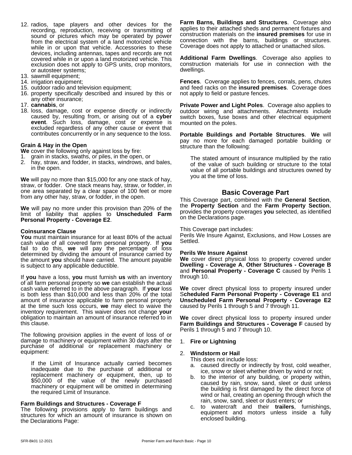- 12. radios, tape players and other devices for the recording, reproduction, receiving or transmitting of sound or pictures which may be operated by power from the electrical system of a land motorized vehicle while in or upon that vehicle. Accessories to these devices, including antennas, tapes and records are not covered while in or upon a land motorized vehicle. This exclusion does not apply to GPS units, crop monitors, or autosteer systems;
- 13. sawmill equipment;
- 14. irrigation equipment;
- 15. outdoor radio and television equipment;
- 16. property specifically described and insured by this or any other insurance;
- 17. **cannabis**, or
- 18. loss, damage, cost or expense directly or indirectly caused by, resulting from, or arising out of a **cyber event**. Such loss, damage, cost or expense is excluded regardless of any other cause or event that contributes concurrently or in any sequence to the loss.

#### **Grain & Hayin the Open**

**We** cover the following only against loss by fire:

- 1. grain in stacks, swaths, or piles, in the open, or
- 2. hay, straw, and fodder, in stacks, windrows, and bales, in the open.

**We** will pay no more than \$15,000 for any one stack of hay, straw, or fodder. One stack means hay, straw, or fodder, in one area separated by a clear space of 100 feet or more from any other hay, straw, or fodder, in the open.

**We** will pay no more under this provision than 20% of the limit of liability that applies to **Unscheduled Farm Personal Property - Coverage E2**.

#### **Coinsurance Clause**

**You** must maintain insurance for at least 80% of the actual cash value of all covered farm personal property. If **you** fail to do this, **we** will pay the percentage of loss determined by dividing the amount of insurance carried by Perlis We I the amount **you** should have carried. The amount payable is subject to any applicable deductible.

If **you** have a loss, **you** must furnish **us** with an inventory of all farm personal property so **we** can establish the actual cash value referred to in the above paragraph. If **your** loss is both less than \$10,000 and less than 20% of the total amount of insurance applicable to farm personal property at the time such loss occurs, **we** may elect to waive the inventory requirement. This waiver does not change **your** obligation to maintain an amount of insurance referred to in this clause.

The following provision applies in the event of loss of or damage to machinery or equipment within 30 days after the purchase of additional or replacement machinery or equipment:

If the Limit of Insurance actually carried becomes inadequate due to the purchase of additional or replacement machinery or equipment, then, up to \$50,000 of the value of the newly purchased machinery or equipment will be omitted in determining the required Limit of Insurance.

#### **Farm Buildings and Structures - Coverage F**

The following provisions apply to farm buildings and structures for which an amount of insurance is shown on the Declarations Page:

**Farm Barns, Buildings and Structures**. Coverage also applies to their attached sheds and permanent fixtures and construction materials on the **insured premises** for use in connection with the barns, buildings or structures. Coverage does not apply to attached or unattached silos.

**Additional Farm Dwellings**. Coverage also applies to construction materials for use in connection with the dwellings.

**Fences**. Coverage applies to fences, corrals, pens, chutes and feed racks on the **insured premises**. Coverage does not apply to field or pasture fences.

**Private Power and Light Poles**. Coverage also applies to outdoor wiring and attachments. Attachments include switch boxes, fuse boxes and other electrical equipment mounted on the poles.

**Portable Buildings and Portable Structures**. **We** will pay no more for each damaged portable building or structure than the following:

The stated amount of insurance multiplied by the ratio of the value of such building or structure to the total value of all portable buildings and structures owned by you at the time of loss.

#### **Basic Coverage Part**

This Coverage part, combined with the **General Section**, the **Property Section** and the **Farm Property Section**, provides the property coverages **you** selected,as identified on the Declarations page.

#### This Coverage part includes:

Perils We Insure Against, Exclusions, and How Losses are Settled.

#### **Perils We Insure Against**

**We** cover direct physical loss to property covered under **Dwelling - Coverage A**, **Other Structures - Coverage B** and **Personal Property - Coverage C** caused by Perils 1 through 10.

**We** cover direct physical loss to property insured under S**cheduled Farm Personal Property - Coverage E1** and **Unscheduled Farm Personal Property - Coverage E2** caused by Perils 1 through 5 and 7 through 11.

**We** cover direct physical loss to property insured under **Farm Buildings and Structures - Coverage F** caused by Perils 1 through 5 and 7 through 10.

#### 1. **Fire or Lightning**

#### 2. **Windstorm or Hail**

This does not include loss:

- a. caused directly or indirectly by frost, cold weather, ice, snow or sleet whether driven by wind or not;
- b. to the interior of any building, or property within, caused by rain, snow, sand, sleet or dust unless the building is first damaged by the direct force of wind or hail, creating an opening through which the rain, snow, sand, sleet or dust enters; or
- c. to watercraft and their **trailers**, furnishings, equipment and motors unless inside a fully enclosed building.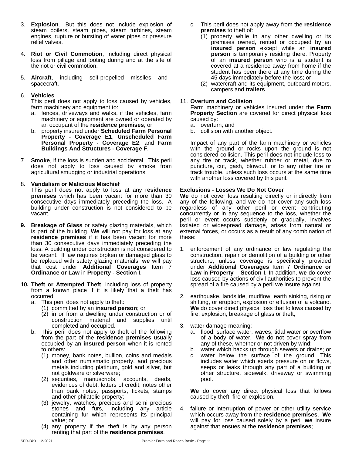- 3. **Explosion**. But this does not include explosion of steam boilers, steam pipes, steam turbines, steam engines, rupture or bursting of water pipes or pressure relief valves.
- 4. **Riot or Civil Commotion**, including direct physical loss from pillage and looting during and at the site of the riot or civil commotion.
- 5. **Aircraft**, including self-propelled missiles and spacecraft.

#### 6. **Vehicles**

This peril does not apply to loss caused by vehicles, farm machinery and equipment to:

- a. fences, driveways and walks, if the vehicles, farm machinery or equipment are owned or operated by an occupant of the **residence premises**; or
- b. property insured under **Scheduled Farm Personal Property - Coverage E1**, **Unscheduled Farm Personal Property - Coverage E2**, and **Farm Buildings And Structures - Coverage F**.
- 7. **Smoke**, if the loss is sudden and accidental. This peril does not apply to loss caused by smoke from agricultural smudging or industrial operations.

#### 8. **Vandalism or Malicious Mischief**

This peril does not apply to loss at any r**esidence** premises which has been vacant for more than 30 consecutive days immediately preceding the loss. A building under construction is not considered to be vacant.

- **9. Breakage of Glass** or safety glazing materials, which is part of the building. We will not pay for loss at any **residence premises** if it has been vacant for more than 30 consecutive days immediately preceding the loss. A building under construction is not considered to be vacant. If law requires broken or damaged glass to be replaced with safety glazing materials, **we** will pay that cost under **Additional Coverages** Item 7 **Ordinance or Law** in **Property - Section I**.
- **10. Theft or Attempted Theft**, including loss of property from a known place if it is likely that a theft has occurred.
	- a. This peril does not apply to theft:
		- (1) committed by an **insured person**; or
		- (2) in or from a dwelling under construction or of construction material and supplies until completed and occupied.
	- b. This peril does not apply to theft of the following from the part of the **residence premises** usually occupied by an **insured person** when it is rented to others:
		- (1) money, bank notes, bullion, coins and medals and other numismatic property, and precious metals including platinum, gold and silver, but not goldware or silverware;
		- (2) securities, manuscripts, accounts, deeds, evidences of debt, letters of credit, notes other than bank notes, passports, tickets, stamps and other philatelic property;
		- (3) jewelry, watches, precious and semi precious stones and furs, including any article containing fur which represents its principal value; or
		- (4) any property if the theft is by any person renting that part of the **residence premises**.
- c. This peril does not apply away from the **residence premises** to theft of:
	- (1) property while in any other dwelling or its premises owned, rented or occupied by an **insured person** except while an **insured person** is temporarily residing there. Property of an **insured person** who is a student is covered at a residence away from home if the student has been there at any time during the 45 days immediately before the loss; or
	- (2) watercraft and its equipment, outboard motors, campers and **trailers**.

#### 11. **Overturn and Collision**

Farm machinery or vehicles insured under the **Farm Property Section** are covered for direct physical loss caused by:

- a. overturn; and
- b. collision with another object.

Impact of any part of the farm machinery or vehicles with the ground or rocks upon the ground is not considered collision. This peril does not include loss to any tire or track, whether rubber or metal, due to puncture, cut, gash, blowout, or to any other tire or track trouble, unless such loss occurs at the same time with another loss covered by this peril.

#### **Exclusions - Losses We Do Not Cover**

**We** do not cover loss resulting directly or indirectly from any of the following, and **we** do not cover any such loss regardless of any other peril or event contributing concurrently or in any sequence to the loss, whether the peril or event occurs suddenly or gradually, involves isolated or widespread damage, arises from natural or external forces, or occurs as a result of any combination of these:

- 1. enforcement of any ordinance or law regulating the construction, repair or demolition of a building or other structure, unless coverage is specifically provided under **Additional Coverages** Item 7 **Ordinance or Law** in **Property – Section I**. In addition, **we** do cover loss caused by actions of civil authorities to prevent the spread of a fire caused by a peril **we** insure against;
- 2. earthquake, landslide, mudflow, earth sinking, rising or shifting, or eruption, explosion or effusion of a volcano. **We** do cover direct physical loss that follows caused by fire, explosion, breakage of glass or theft;
- 3. water damage meaning:
	- a. flood, surface water, waves, tidal water or overflow of a body of water. **We** do not cover spray from any of these, whether or not driven by wind;
	- b. water which backs up through sewers or drains; or
	- c. water below the surface of the ground. This includes water which exerts pressure on or flows, seeps or leaks through any part of a building or other structure, sidewalk, driveway or swimming pool.

**We** do cover any direct physical loss that follows caused by theft, fire or explosion.

4. failure or interruption of power or other utility service which occurs away from the **residence premises**. **We** will pay for loss caused solely by a peril**we** insure against that ensues at the **residence premises**;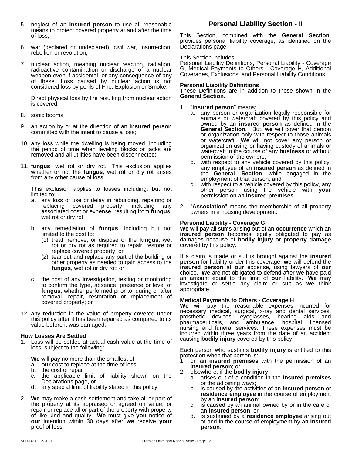- 5. neglect of an **insured person** to use all reasonable **Personal Liability Section II** means to protect covered property at and after the time of loss;
- 6. war (declared or undeclared), civil war, insurrection, rebellion or revolution;
- 7. nuclear action, meaning nuclear reaction, radiation, radioactive contamination or discharge of a nuclear weapon even if accidental, or any consequence of any Coverages of these. Loss caused by nuclear action is not considered loss by perils of Fire, Explosion or Smoke.

Direct physical loss by fire resulting from nuclear action is covered.

- 8. sonic booms;
- 9. an action by or at the direction of an **insured person** committed with the intent to cause a loss;
- 10. any loss while the dwelling is being moved, including the period of time when leveling blocks or jacks are removed and all utilities have been disconnected;
- 11. **fungus**, wet rot or dry rot. This exclusion applies whether or not the **fungus**, wet rot or dry rot arises from any other cause of loss.

This exclusion applies to losses including, but not limited to:

- a. any loss of use or delay in rebuilding, repairing or replacing covered property, including any associated cost or expense, resulting from **fungus**, wet rot or dry rot;
- b. any remediation of **fungus**, including but not limited to the cost to:
	- (1) treat, remove, or dispose of the **fungus**, wet rot or dry rot as required to repair, restore or replace covered property, or
	- (2) tear out and replace any part of the building or other property as needed to gain access to the **fungus**, wet rot or dry rot; or
- c. the cost of any investigation, testing or monitoring to confirm the type, absence, presence or level of **fungus**, whether performed prior to, during or after removal, repair, restoration or replacement of covered property; or
- 12. any reduction in the value of property covered under this policy after it has been repaired as compared to its value before it was damaged.

#### **How Losses Are Settled**

1. Loss will be settled at actual cash value at the time of loss, subject to the following:

**We** will pay no more than the smallest of:

- a. **our** cost to replace at the time of loss,
- b. the cost of repair,
- c. the applicable limit of liability shown on the Declarations page, or
- d. any special limit of liability stated in this policy.
- 2. **We** may make a cash settlement and take all or part of the property at its appraised or agreed on value, or repair or replace all or part of the property with property of like kind and quality. **We** must give **you** notice of **our** intention within 30 days after **we** receive **your** proof of loss.

This Section, combined with the **General Section**, provides personal liability coverage, as identified on the Declarations page.

#### This Section includes:

Personal Liability Definitions, Personal Liability - Coverage G, Medical Payments to Others - Coverage H, Additional Coverages, Exclusions, and Personal Liability Conditions.

#### **Personal Liability Definitions**

These Definitions are in addition to those shown in the **General Section**.

- 1. "**Insured person**" means:
	- a. any person or organization legally responsible for animals or watercraft covered by this policy and owned by an **insured person** as defined in the **General Section**. But, **we** will cover that person or organization only with respect to those animals or watercraft. **We** will not cover any person or organization using or having custody of animals or watercraft in the course of any **business** or without permission of the owners;
	- b. with respect to any vehicle covered by this policy, any employee of an **insured person** as defined in the **General Section**, while engaged in the employment of that person; and
	- c. with respect to a vehicle covered by this policy, any other person using the vehicle with **your** permission on an **insured premises**.
- 2. "**Association**" means the membership of all property owners in a housing development.

#### **Personal Liability - Coverage G**

We will pay all sums arising out of an **occurrence** which an **insured person** becomes legally obligated to pay as damages because of **bodily injury** or **property damage** covered by this policy.

If a claim is made or suit is brought against the **insured person** for liability under this coverage, **we** will defend the **insured person** at **our** expense, using lawyers of **our** choice. We are not obligated to defend after we have paid an amount equal to the limit of **our** liability. **We** may investigate or settle any claim or suit as we think appropriate.

#### **Medical Payments to Others - Coverage H**

**We** will pay the reasonable expenses incurred for necessary medical, surgical, x-ray and dental services, prosthetic devices, eyeglasses, hearing aids and pharmaceuticals, and ambulance, hospital, licensed nursing and funeral services. These expenses must be incurred within three years from the date of an accident causing **bodily injury** covered by this policy.

Each person who sustains **bodily injury** is entitled to this protection when that person is:

- 1. on an **insured premises** with the permission of an **insured person**; or
- 2. elsewhere, if the **bodily injury**:
	- a. arises out of a condition in the **insured premises** or the adjoining ways;
	- b. is caused by the activities of an **insured person** or **residence employee** in the course of employment by an **insured person**;
	- c. is caused by an animal owned by or in the care of an **insured person**; or
	- d. is sustained by a **residence employee** arising out of and in the course of employment by an **insured person**.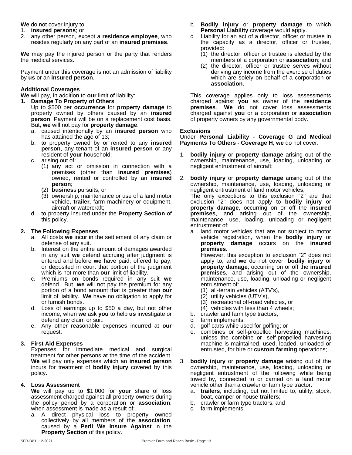**We** do not cover injury to:

- 1. **insured persons**; or
- 2. any other person, except a **residence employee**, who resides regularly on any part of an **insured premises**.

**We** may pay the injured person or the party that renders the medical services.

Payment under this coverage is not an admission of liability by **us** or an **insured person**.

#### **Additional Coverages**

**We** will pay, in addition to **our** limit of liability:

- **1. Damage To Property of Others** Up to \$500 per **occurrence** for **property damage** to property owned by others caused by an **insured person**. Payment will be on a replacement cost basis. But, **we** will not pay for **property damage**:
	- a. caused intentionally by an **insured person** who has attained the age of 13;
	- b. to property owned by or rented to any **insured person**, any tenant of an **insured person** or any resident of **your** household;
	- c. arising out of:
		- (1) any act or omission in connection with a premises (other than **insured premises**) owned, rented or controlled by an **insured person**;
		- (2) **busines**s pursuits; or
		- (3) ownership, maintenance or use of a land motor vehicle, **trailer**, farm machinery or equipment, aircraft or watercraft;
	- d. to property insured underthe **Property Section** of this policy.

#### **2. The Following Expenses**

- a. All costs **we** incur in the settlement of any claim or defense of any suit.
- b. Interest on the entire amount of damages awarded in any suit **we** defend accruing after judgment is entered and before **we** have paid, offered to pay, or deposited in court that portion of the judgment which is not more than **our** limit of liability.
- c. Premiums on bonds required in any suit **we** defend. But, we will not pay the premium for any portion of a bond amount that is greater than **our** limit of liability. **We** have no obligation to apply for or furnish bonds.
- d. Loss of earnings up to \$50 a day, but not other income, when **we** ask **you** to help **us** investigate or defend any claim or suit.
- e. Any other reasonable expenses incurred at **our** request.

#### **3. First Aid Expenses**

Expenses for immediate medical and surgical treatment for other persons at the time of the accident. **We** will pay only expenses which an **insured person** incurs for treatment of **bodily injury** covered by this policy.

#### **4. Loss Assessment**

**We** will pay up to \$1,000 for **your** share of loss assessment charged against all property owners during the policy period by a corporation or **association**, when assessment is made as a result of:

a. A direct physical loss to property owned collectively by all members of the **association**, caused by a **Peril We Insure Against** in the **Property Section** of this policy.

- b. **Bodily injury** or **property damage** to which **Personal Liability** coverage would apply.
- c. Liability for an act of a director, officer or trustee in the capacity as a director, officer or trustee, provided:
	- (1) the director, officer or trustee is elected by the members of a corporation or **association**; and
	- (2) the director, officer or trustee serves without deriving any income from the exercise of duties which are solely on behalf of a corporation or **association**.

This coverage applies only to loss assessments charged against **you** as owner of the **residence premises**. **We** do not cover loss assessments charged against **you** or a corporation or **association** of property owners by any governmental body.

#### **Exclusions**

Under **Personal Liability - Coverage G** and **Medical Payments To Others - Coverage H**, **we** do not cover:

- 1. **bodily injury** or **property damage** arising out of the ownership, maintenance, use, loading, unloading or negligent entrustment of aircraft;
- 2. **bodily injury** or **property damage** arising out of the ownership, maintenance, use, loading, unloading or negligent entrustment of land motor vehicles; The only exceptions to this exclusion "2" are that exclusion "2" does not apply to **bodily injury** or **property damage**, occurring on or off the **insured premises**, and arising out of the ownership, maintenance, use, loading, unloading or negligent entrustment of:
	- a. land motor vehicles that are not subject to motor vehicle registration, when the **bodily injury** or **property damage** occurs on the **insured premises**.

However, this exception to exclusion "2" does not apply to, and **we** do notcover, **bodily injury** or **property damage**, occurring on or off the **insured premises**, and arising out of the ownership, maintenance, use, loading, unloading or negligent entrustment of:

- (1) all-terrain vehicles (ATV's),
- $(2)$  utility vehicles (UTV's),
- (3) recreational off-road vehicles, or
- (4) vehicles with less than 4 wheels;
- b. crawler and farm type tractors;
- c. farm implements;
- d. golf carts while used for golfing; or
- e. combines or self-propelled harvesting machines, unless the combine or self-propelled harvesting machine is maintained, used, loaded, unloaded or entrusted, for hire or **custom farming** operations;
- 3. **bodily injury** or **property damage** arising out of the ownership, maintenance, use, loading, unloading or negligent entrustment of the following while being towed by, connected to or carried on a land motor vehicle other than a crawler or farm type tractor:
	- a. **trailers**, including, but not limited to, utility, stock, boat, camper or house **trailers**;
	- b. crawler or farm type tractors; and
	- c. farm implements;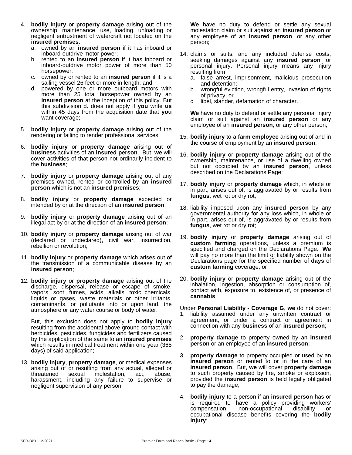- 4. **bodily injury** or **property damage** arising out of the ownership, maintenance, use, loading, unloading or negligent entrustment of watercraft not located on the **insured premises**:
	- a. owned by an **insured person** if it has inboard or inboard-outdrive motor power;
	- b. rented to an **insured person** if it has inboard or inboard-outdrive motor power of more than 50 horsepower;
	- c. owned by or rented to an **insured person** if it is a sailing vessel 26 feet or more in length; and
	- d. powered by one or more outboard motors with more than 25 total horsepower owned by an **insured person** at the inception of this policy. But this subdivision d. does not apply if **you** write **us** within 45 days from the acquisition date that **you** want coverage;
- 5. **bodily injury** or **property damage** arising out of the rendering or failing to render professional services;
- 6. **bodily injury** or **property damage** arising out of **business** activities of an **insured person**. But, **we** will cover activities of that person not ordinarily incident to the **business**;
- 7. **bodily injury** or **property damage** arising out of any premises owned, rented or controlled by an **insured person** which is not an **insured premises**;
- 8. **bodily injury** or **property damage** expected or intended by or at the direction of an **insured person**;
- 9. **bodily injury** or **property damage** arising out of an illegal act by or at the direction of an **insured person**;
- 10. **bodily injury** or **property damage** arising out of war (declared or undeclared), civil war, insurrection, rebellion or revolution;
- 11. **bodily injury** or **property damage** which arises out of the transmission of a communicable disease by an **insured person**;
- 12. **bodily injury** or **property damage** arising out of the discharge, dispersal, release or escape of smoke, vapors, soot, fumes, acids, alkalis, toxic chemicals, liquids or gases, waste materials or other irritants, contaminants, or pollutants into or upon land, the atmosphere or any water course or body of water.

But, this exclusion does not apply to **bodily injury** resulting from the accidental above ground contact with herbicides, pesticides, fungicides and fertilizers caused by the application of the same to an **insured premises** which results in medical treatment within one year (365 days) of said application;

13. **bodily injury**, **property damage**, or medical expenses arising out of or resulting from any actual, alleged or threatened sexual molestation, act, abuse, harassment, including any failure to supervise or negligent supervision of any person.

**We** have no duty to defend or settle any sexual molestation claim or suit against an **insured person** or any employee of an **insured person**, or any other person;

- 14. claims or suits, and any included defense costs, seeking damages against any **insured person** for personal injury. Personal injury means any injury resulting from
	- a. false arrest, imprisonment, malicious prosecution and detention;
	- b. wrongful eviction, wrongful entry, invasion of rights of privacy; or
	- c. libel, slander, defamation of character.

**We** have no duty to defend or settle any personal injury claim or suit against an **insured person** or any employee of an **insured person**, or any other person;

- 15. **bodily injury** to a **farm employee** arising out of and in the course of employment by an **insured person**;
- 16. **bodily injury** or **property damage** arising out of the ownership, maintenance, or use of a dwelling owned but not occupied by an **insured person**, unless described on the Declarations Page;
- 17. **bodily injury** or **property damage** which, in whole or in part, arises out of, is aggravated by or results from **fungus**, wet rot or dry rot;
- 18. liability imposed upon any **insured person** by any governmental authority for any loss which, in whole or in part, arises out of, is aggravated by or results from **fungus**, wet rot or dry rot;
- 19. **bodily injury** or **property damage** arising out of **custom farming** operations, unless a premium is specified and charged on the Declarations Page. **We** will pay no more than the limit of liability shown on the Declarations page for the specified number of **days** of **custom farming** coverage; or
- 20. **bodily injury** or **property damage** arising out of the inhalation, ingestion, absorption or consumption of, contact with, exposure to, existence of, or presence of **cannabis**.

Under **Personal Liability - Coverage G**, **we** do not cover:

- 1. liability assumed under any unwritten contract or agreement, or under a contract or agreement in connection with any **business** of an **insured person**;
- 2. **property damage** to property owned by an **insured person** or an employee of an **insured person**;
- 3. **property damage** to property occupied or used by an **insured** person or rented to or in the care of an **insured person**. But, **we** will cover **property damage** to such property caused by fire, smoke or explosion, provided the **insured person** is held legally obligated to pay the damage;
- 4. **bodily injury** to a person if an **insured person** has or is required to have a policy providing workers' compensation, non-occupational disability or occupational disease benefits covering the **bodily injury**;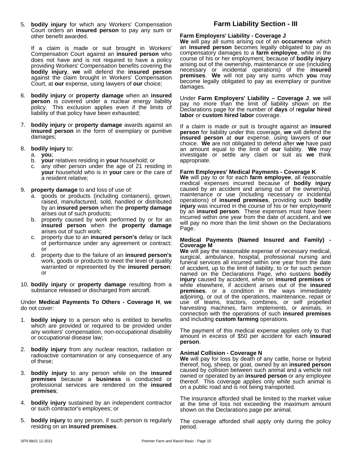5. **bodily injury** for which any Workers' Compensation Court orders an **insured person** to pay any sum or other benefit awarded.

If a claim is made or suit brought in Workers' Compensation Court against an **insured person** who does not have and is not required to have a policy providing Workers' Compensation benefits covering the **bodily injury**, **we** will defend the **insured person** against the claim brought in Workers' Compensation Court, at **our** expense, using lawyers of **our** choice;

- 6. **bodily injury** or **property damage** when an **insured person** is covered under a nuclear energy liability policy. This exclusion applies even if the limits of liability of that policy have been exhausted;
- 7. **bodily injury** or **property damage** awards against an **insured person** in the form of exemplary or punitive damages;
- 8. **bodily injury** to:
	- a. **you**;
	- b. **your** relatives residing in **your** household; or
	- c. any other person under the age of 21 residing in **your** household who is in **your** care or the care of a resident relative;
- 9. **property damage** to and loss of use of:
	- a. goods or products (including containers), grown, raised, manufactured, sold, handled or distributed by an **insured person** when the **property damage** arises out of such products;
	- b. property caused by work performed by or for an **insured person** when the **property damage** arises out of such work;
	- c. property due to an **insured person's** delay or lack of performance under any agreement or contract; or
	- d. property due to the failure of an **insured person's** work, goods or products to meet the level of quality warranted or represented by the **insured person**; or
- 10. **bodily injury** or **property damage** resulting from a substance released or discharged from aircraft.

Under **Medical Payments To Others - Coverage H**, **we** do not cover:

- 1. **bodily injury** to a person who is entitled to benefits which are provided or required to be provided under any workers' compensation, non-occupational disability or occupational disease law;
- 2. **bodily injury** from any nuclear reaction, radiation or radioactive contamination or any consequence of any of these;
- 3. **bodily injury** to any person while on the **insured premises** because a **business** is conducted or professional services are rendered on the **insured premises**;
- 4. **bodily injury** sustained by an independent contractor or such contractor's employees; or
- 5. **bodily injury** to any person, if such person is regularly residing on an **insured premises**.

## **Farm Liability Section - III**

#### **Farm Employers' Liability - Coverage J**

**We** will pay all sums arising out of an **occurrence** which an **insured person** becomes legally obligated to pay as compensatory damages to a **farm employee**, while in the course of his or her employment, because of **bodily injury** arising out of the ownership, maintenance or use (including necessary or incidental operations) of the **insured premises**. **We** will not pay any sums which **you** may become legally obligated to pay as exemplary or punitive damages.

Under **Farm Employers' Liability – Coverage J**, **we** will pay no more than the limit of liability shown on the Declarations page for the number of **days** of r**egular hired labor** or **custom hired labor** coverage.

If a claim is made or suit is brought against an **insured person** for liability under this coverage, **we** will defend the **insured person** at **our** expense, using lawyers of **our** choice. We are not obligated to defend after we have paid an amount equal to the limit of **our** liability. **We** may investigate or settle any claim or suit as **we** think appropriate.

#### **Farm Employees' Medical Payments - Coverage K**

**We** will pay to or foreach **farm employee**, all reasonable medical expenses incurred because of **bodily injury** caused by an accident and arising out of the ownership, maintenance or use (including necessary or incidental operations) of **insured premises**, providing such **bodily injury** was incurred in the course of his or her employment by an **insured person**. These expenses must have been incurred within one year from the date of accident, and **we** will pay no more than the limit shown on the Declarations Page.

#### **Medical Payments (Named Insured and Family) - Coverage M**

**We** will pay the reasonable expense of necessary medical, surgical, ambulance, hospital, professional nursing and funeral services all incurred within one year from the date of accident, up to the limit of liability, to or for such person named on the Declarations Page, who sustains **bodily injury** caused by accident, while on **insured premises** or while elsewhere, if accident arises out of the **insured premises**, or a condition in the ways immediately adjoining, or out of the operations, maintenance, repair or use of teams, tractors, combines, or self propelled harvesting machines, farm implements, or animals, in connection with the operations of such **insured premises** and including **custom farming** operations.

The payment of this medical expense applies only to that amount in excess of \$50 per accident for each **insured person**.

#### **Animal Collision - Coverage N**

**We** will pay for loss by death of any cattle, horse or hybrid thereof, hog, sheep, or goat, owned by an **insured person** caused by collision between such animal and a vehicle not owned or operated by an **insured person** or any employee thereof. This coverage applies only while such animal is on a public road and is not being transported.

The insurance afforded shall be limited to the market value at the time of loss not exceeding the maximum amount shown on the Declarations page per animal.

The coverage afforded shall apply only during the policy period.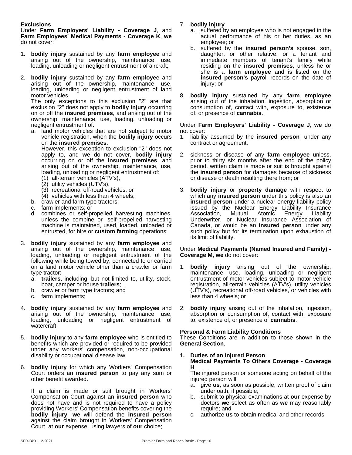#### **Exclusions**

Under **Farm Employers' Liability - Coverage J**, and **Farm Employees' Medical Payments - Coverage K**, **we** do not cover:

- 1. **bodily injury** sustained by any **farm employee** and arising out of the ownership, maintenance, use, loading, unloading or negligent entrustment of aircraft;
- 2. **bodily injury** sustained by any **farm employe**e and arising out of the ownership, maintenance, use, loading, unloading or negligent entrustment of land motor vehicles.

The only exceptions to this exclusion "2" are that exclusion "2" does not apply to **bodily injury** occurring on or off the **insured premises**, and arising out of the ownership, maintenance, use, loading, unloading or negligent entrustment of:

a. land motor vehicles that are not subject to motor vehicle registration, when the **bodily injury** occurs on the **insured premises**.

However, this exception to exclusion "2" does not apply to, and **we** do not cover, **bodily injury** occurring on or off the **insured premises**, and arising out of the ownership, maintenance, use, loading, unloading or negligent entrustment of:

- (1) all-terrain vehicles (ATV's),
- (2) utility vehicles (UTV's),
- (3) recreational off-road vehicles, or
- (4) vehicles with less than 4 wheels;
- b. crawler and farm type tractors;
- c. farm implements; or
- d. combines or self-propelled harvesting machines, unless the combine or self-propelled harvesting machine is maintained, used, loaded, unloaded or entrusted, for hire or **custom farming** operations;
- 3. **bodily injury** sustained by any **farm employee** and arising out of the ownership, maintenance, use, loading, unloading or negligent entrustment of the following while being towed by, connected to or carried on a land motor vehicle other than a crawler or farm type tractor:
	- a. **trailers**, including, but not limited to, utility, stock, boat, camper or house **trailers**;
	- b. crawler or farm type tractors; and
	- c. farm implements;
- 4. **bodily injury** sustained by any **farm employee** and arising out of the ownership, maintenance, use, loading, unloading or negligent entrustment of watercraft;
- 5. **bodily injury** to any **farm employee** who is entitled to benefits which are provided or required to be provided under any workers' compensation, non-occupational disability or occupational disease law;
- 6. **bodily injury** for which any Workers' Compensation Court orders an **insured person** to pay any sum or other benefit awarded.

If a claim is made or suit brought in Workers' Compensation Court against an **insured person** who does not have and is not required to have a policy providing Workers' Compensation benefits covering the **bodily injury**, **we** will defend the **insured person** against the claim brought in Workers' Compensation Court, at **our** expense, using lawyers of **our** choice;

#### 7. **bodily injury**

- a. suffered by an employee who is not engaged in the actual performance of his or her duties, as an employee; or
- b. suffered by the **insured person's** spouse, son, daughter, or other relative, or a tenant and immediate members of tenant's family while residing on the **insured premises**, unless he or she is a **farm employee** and is listed on the **insured person's** payroll records on the date of injury; or
- 8. **bodily injury** sustained by any **farm employee** arising out of the inhalation, ingestion, absorption or consumption of, contact with, exposure to, existence of, or presence of **cannabis**.

Under **Farm Employers' Liability - Coverage J**, **we** do not cover:

- 1. liability assumed by the **insured person** under any contract or agreement;
- 2. sickness or disease of any **farm employee** unless, prior to thirty six months after the end of the policy period, written claim is made or suit is brought against the **insured person** for damages because of sickness or disease or death resulting there from; or
- 3. **bodily injury** or **property damage** with respect to which any **insured person** under this policy is also an **insured person** under a nuclear energy liability policy issued by the Nuclear Energy Liability Insurance Association, Mutual Atomic Energy Liability Underwriter, or Nuclear Insurance Association of Canada, or would be an **insured person** under any such policy but for its termination upon exhaustion of its limit of liability.

#### Under **Medical Payments (Named Insured and Family) - Coverage M**, **we** do not cover:

- 1. **bodily injury** arising out of the ownership, maintenance, use, loading, unloading or negligent entrustment of motor vehicles subject to motor vehicle registration, all-terrain vehicles (ATV's), utility vehicles (UTV's), recreational off-road vehicles, or vehicles with less than 4 wheels; or
- 2. **bodily injury** arising out of the inhalation, ingestion, absorption or consumption of, contact with, exposure to, existence of, or presence of **cannabis**.

#### **Personal & Farm Liability Conditions**

These Conditions are in addition to those shown in the **General Section**.

**1. Duties of an Injured Person Medical Payments To Others Coverage - Coverage H**

The injured person or someone acting on behalf of the injured person will:

- a. give **us**, as soon as possible, written proof of claim under oath, if possible;
- b. submit to physical examinations at **our** expense by doctors **we** select as often as **we** may reasonably require; and
- c. authorize **us** to obtain medical and other records.